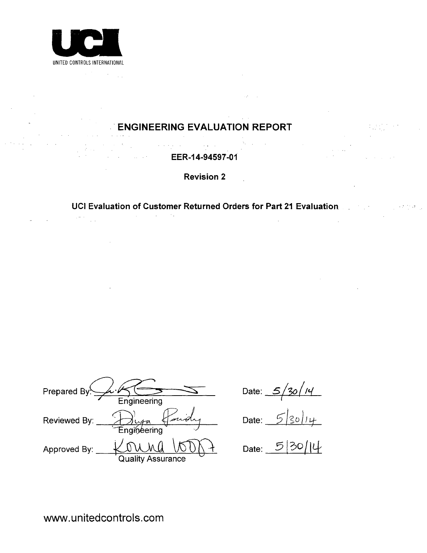

**ENGINEERING EVALUATION** REPORT

EER-14-94597-01

Revision 2

UCI Evaluation of Customer Returned Orders for Part 21 Evaluation  $\mathcal{L}^{\mu\nu}$  ,  $\mathcal{L}^{\mu\nu}$ and a strategic control of the

and<br>San Sa

Prepared By<sup>!</sup>  $\frac{\lambda \cdot \mu}{\text{Engineering}}$ Reviewed By: > Ju<sub>ta</sub> Engineerin Approved By:  $KOMM \setminus \mathcal{N} \cup \setminus \mathcal{N}$  Date: 5 Quality Assurance

Date:  $5/3$ 

Date:  $\frac{c}{2}$ 

www.unitedcontrols.com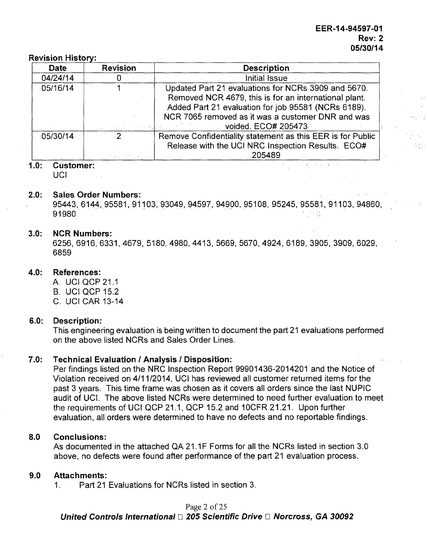#### Revision History:

| <b>Date</b> | <b>Revision</b> | <b>Description</b>                                         |
|-------------|-----------------|------------------------------------------------------------|
| 04/24/14    |                 | Initial Issue                                              |
| 05/16/14    |                 | Updated Part 21 evaluations for NCRs 3909 and 5670.        |
|             |                 | Removed NCR 4679, this is for an international plant.      |
|             |                 | Added Part 21 evaluation for job 95581 (NCRs 6189).        |
|             |                 | NCR 7065 removed as it was a customer DNR and was          |
|             |                 | voided. ECO# 205473                                        |
| 05/30/14    | Ω               | Remove Confidentiality statement as this EER is for Public |
|             |                 | Release with the UCI NRC Inspection Results. ECO#          |
|             |                 | 205489                                                     |

#### **1.0:** Customer:

UCI. **Contract Contract** 

#### 2.0: Sales Order Numbers:

95443, 6144, 95581, 91103, 93049, 94597, 94900, 95108, 95245, 95581, 91103, 94860, 91980  $\mathcal{L}^{\text{max}}_{\text{max}}$ 

 $\overline{\mathcal{L}}_{\text{max}}$ 

 $\chi$  , where  $\chi$  is  $\chi$ 

 $\sim$ 

#### **3.0:** NCR Numbers:

6256, 6916, 6331, 4679, 5180, 4980, 4413, 5669, 5670, 4924, 6189, 3905, 3909, 6029, 6859

# 4.0: References:

- A. UCI QCP 21.1 B. UCI QCP 15.2
- C. UCI CAR 13-14

#### **6.0:** Description:

This engineering evaluation is being written to document the part 21 evaluations performed on the above listed NCRs and Sales Order Lines.

# **7.0:** Technical Evaluation **I** Analysis **I** Disposition:

Per findings listed on the NRC Inspection Report 99901436-2014201 and the Notice of Violation received on 4/11/2014, UCI has reviewed all customer returned items for the past 3 years. This time frame was chosen as it covers all orders since the last NUPIC audit of UCI. The above listed NCRs were determined to need further evaluation to meet the requirements of UCI QCP 21.1, QCP 15.2 and 10CFR 21.21. Upon further evaluation, all orders were determined to have no defects and no reportable findings.

#### **8.0** Conclusions:

As documented in the attached QA 21.1F Forms for all the NCRs listed in section 3.0 above, no defects were found after performance of the part 21 evaluation process.

#### **9.0** Attachments:

1. Part 21 Evaluations for NCRs listed in section 3.

Page 2 of 25 *United Controls International* **E** *205 Scientific Drive El Norcross, GA 30092*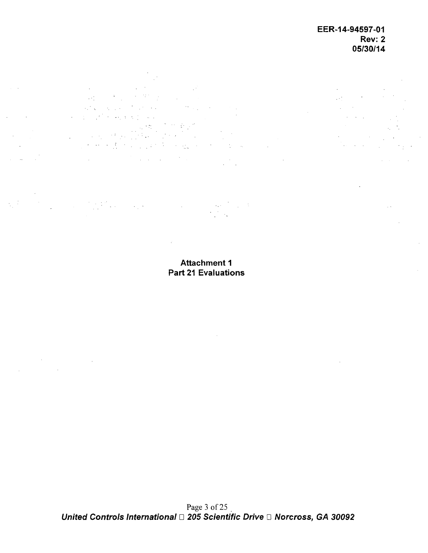$\frac{1}{2} \sqrt{2}$ 

 $\mathcal{L}$  $\sim 100$  $\mathcal{L}_{\rm{max}}$  $\mathcal{L}^{\text{max}}_{\text{max}}$  $\eta_{\rm c}$  ,  $\eta_{\rm c}$  $\hat{c}$  ,  $\hat{c}$  ,  $\hat{c}$  ,  $\hat{c}$  $\mathcal{L} \subset \mathcal{L}^2$  $\mathcal{L}_{\rm{max}}$  , where  $\mathcal{L}_{\rm{max}}$  $\mathbb{R}^{\mathbb{Z}^2}$  $\sim 1$  $\label{eq:2.1} \mathcal{F}^{\mathcal{A}}(\mathcal{A})=\mathcal{F}^{\mathcal{A}}(\mathcal{A})=\mathcal{F}^{\mathcal{A}}(\mathcal{A})=\mathcal{F}^{\mathcal{A}}(\mathcal{A})$  $\frac{1}{2} \sum_{i=1}^n \frac{1}{i} \frac{1}{i}$  $\sim$  $\mathcal{L}_{\text{max}}$  and  $\mathcal{L}_{\text{max}}$  and  $\mathcal{L}_{\text{max}}$  $\frac{1}{2} \left( \frac{1}{2} \right) \left( \frac{1}{2} \right)$ 

 $\label{eq:2.1} \frac{1}{\sqrt{2\pi}}\frac{1}{\sqrt{2\pi}}\frac{1}{\sqrt{2\pi}}\frac{1}{\sqrt{2\pi}}\frac{1}{\sqrt{2\pi}}\frac{1}{\sqrt{2\pi}}\frac{1}{\sqrt{2\pi}}\frac{1}{\sqrt{2\pi}}\frac{1}{\sqrt{2\pi}}\frac{1}{\sqrt{2\pi}}\frac{1}{\sqrt{2\pi}}\frac{1}{\sqrt{2\pi}}\frac{1}{\sqrt{2\pi}}\frac{1}{\sqrt{2\pi}}\frac{1}{\sqrt{2\pi}}\frac{1}{\sqrt{2\pi}}\frac{1}{\sqrt{2\pi}}\frac{1}{\sqrt$  $\sim$  exce  $\sim 10$ 

Attachment **1**

 $\sim$   $\sim$ 

 $\sim 10$ 

# Part 21 Evaluations

Page 3 of 25 *United Controls International* □ 205 Scientific Drive □ Norcross, GA 30092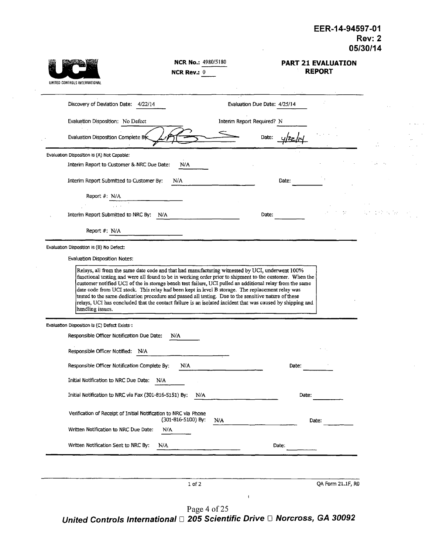| UNITED CONTROLS INTERNATIONAL                                                                                                                                                                                                                                                                                                                                                                                                                          | NCR No.: 4980/5180<br>NCR Rev.: $0$ |                              | <b>PART 21 EVALUATION</b><br><b>REPORT</b> |       |  |
|--------------------------------------------------------------------------------------------------------------------------------------------------------------------------------------------------------------------------------------------------------------------------------------------------------------------------------------------------------------------------------------------------------------------------------------------------------|-------------------------------------|------------------------------|--------------------------------------------|-------|--|
| Discovery of Deviation Date: 4/22/14                                                                                                                                                                                                                                                                                                                                                                                                                   |                                     | Evaluation Due Date: 4/25/14 |                                            |       |  |
| Evaluation Disposition: No Defect                                                                                                                                                                                                                                                                                                                                                                                                                      |                                     | Interim Report Required? N   |                                            |       |  |
| Evaluation Disposition Complete By                                                                                                                                                                                                                                                                                                                                                                                                                     |                                     | Date:                        |                                            |       |  |
| Evaluation Disposition is (A) Not Capable:                                                                                                                                                                                                                                                                                                                                                                                                             |                                     |                              |                                            |       |  |
| Interim Report to Customer & NRC Due Date:                                                                                                                                                                                                                                                                                                                                                                                                             | N/A                                 |                              |                                            |       |  |
| Interim Report Submitted to Customer By:                                                                                                                                                                                                                                                                                                                                                                                                               | N/A                                 | Date:                        |                                            |       |  |
| Report #: N/A                                                                                                                                                                                                                                                                                                                                                                                                                                          |                                     |                              |                                            |       |  |
| Interim Report Submitted to NRC By: N/A                                                                                                                                                                                                                                                                                                                                                                                                                |                                     | Date:                        |                                            | 计程序 化 |  |
| Report #: N/A                                                                                                                                                                                                                                                                                                                                                                                                                                          |                                     |                              |                                            |       |  |
| Evaluation Disposition is (B) No Defect:                                                                                                                                                                                                                                                                                                                                                                                                               |                                     |                              |                                            |       |  |
| Evaluation Disposition Notes:                                                                                                                                                                                                                                                                                                                                                                                                                          |                                     |                              |                                            |       |  |
| customer notified UCI of the in storage bench test failure, UCI pulled an additional relay from the same<br>date code from UCI stock. This relay had been kept in level B storage. The replacement relay was<br>tested to the same dedication procedure and passed all testing. Due to the sensitive nature of these<br>relays, UCI has concluded that the contact failure is an isolated incident that was caused by shipping and<br>handling issues. |                                     |                              |                                            |       |  |
| Evaluation Disposition is (C) Defect Exists :                                                                                                                                                                                                                                                                                                                                                                                                          |                                     |                              |                                            |       |  |
| Responsible Officer Notification Due Date:                                                                                                                                                                                                                                                                                                                                                                                                             | N/A                                 |                              |                                            |       |  |
| Responsible Officer Notified: N/A                                                                                                                                                                                                                                                                                                                                                                                                                      |                                     |                              |                                            |       |  |
| Responsible Officer Notification Complete By:                                                                                                                                                                                                                                                                                                                                                                                                          | N/A                                 | Date:                        |                                            |       |  |
| Initial Notification to NRC Due Date:<br>N/A                                                                                                                                                                                                                                                                                                                                                                                                           |                                     |                              |                                            |       |  |
| Initial Notification to NRC via Fax (301-816-5151) By:                                                                                                                                                                                                                                                                                                                                                                                                 | N/A                                 | Date:                        |                                            |       |  |
| Verification of Receipt of Initial Notification to NRC via Phone                                                                                                                                                                                                                                                                                                                                                                                       | (301-816-5100) By:<br>N/A           |                              | Date:                                      |       |  |
| Written Notification to NRC Due Date:                                                                                                                                                                                                                                                                                                                                                                                                                  | N/A                                 |                              |                                            |       |  |
| Written Notification Sent to NRC By:                                                                                                                                                                                                                                                                                                                                                                                                                   | N/A                                 | Date:                        |                                            |       |  |
|                                                                                                                                                                                                                                                                                                                                                                                                                                                        |                                     |                              |                                            |       |  |
|                                                                                                                                                                                                                                                                                                                                                                                                                                                        | $1$ of $2$                          |                              | QA Form 21.1F, R0                          |       |  |
|                                                                                                                                                                                                                                                                                                                                                                                                                                                        |                                     | ł                            |                                            |       |  |

 $\sim$ 

Page 4 of 2 *United Controls International ED 205 Scientific Drive <b>El Norcross, GA 30092*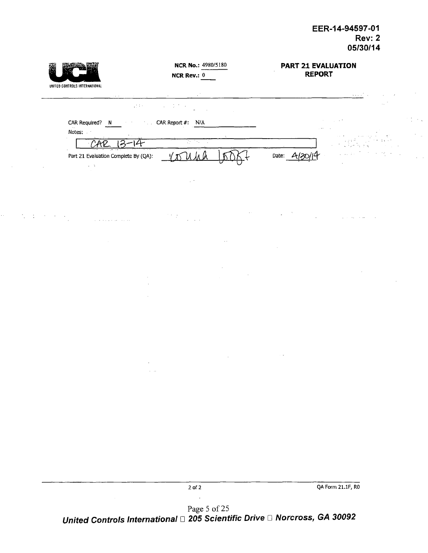| UNITED CONTROLS INTERNATIONAL |                                                      |                                    | <b>NCR No.: 4980/5180</b><br>NCR Rev.: $0$ |          |              | PART 21 EVALUATION<br><b>REPORT</b> |              |  |
|-------------------------------|------------------------------------------------------|------------------------------------|--------------------------------------------|----------|--------------|-------------------------------------|--------------|--|
|                               | $\epsilon$ is $\epsilon$ .<br>$\sqrt{2}$ in $\gamma$ | $\sim$<br>$\sim 10^{-6}$<br>$\sim$ | $\sim$                                     |          |              |                                     | أنواء والمرا |  |
| CAR Required? N<br>Notes:     | $\alpha = 0.5$                                       | CAR Report #: N/A                  |                                            |          |              |                                     |              |  |
| CAR                           | -14<br>12                                            |                                    | <u>के प्राप्त प</u>                        |          |              |                                     |              |  |
| $\omega=3$                    | Part 21 Evaluation Complete By (QA):                 |                                    |                                            |          | Date: $A/3C$ |                                     |              |  |
| $\sim$                        |                                                      |                                    |                                            |          |              |                                     |              |  |
|                               |                                                      |                                    |                                            |          |              |                                     |              |  |
|                               |                                                      |                                    |                                            |          |              |                                     |              |  |
|                               |                                                      | $\gamma \ll \gamma$                | $\sim$ $\sim$                              |          |              |                                     |              |  |
|                               |                                                      |                                    |                                            |          |              |                                     |              |  |
|                               |                                                      |                                    |                                            |          |              |                                     |              |  |
|                               |                                                      |                                    |                                            |          |              |                                     |              |  |
|                               |                                                      |                                    |                                            |          |              |                                     |              |  |
|                               |                                                      |                                    |                                            |          |              |                                     |              |  |
|                               |                                                      |                                    |                                            |          |              |                                     |              |  |
|                               |                                                      |                                    |                                            |          |              |                                     |              |  |
|                               |                                                      | $\epsilon$                         |                                            | $\alpha$ |              |                                     |              |  |
|                               |                                                      | $\sim 10^{11}$                     |                                            |          |              |                                     |              |  |
|                               |                                                      |                                    |                                            |          |              |                                     |              |  |
|                               |                                                      |                                    |                                            |          |              |                                     |              |  |
|                               |                                                      |                                    |                                            |          |              |                                     |              |  |
|                               |                                                      |                                    |                                            |          |              |                                     |              |  |
|                               |                                                      |                                    |                                            |          |              |                                     |              |  |
|                               |                                                      |                                    |                                            |          |              |                                     |              |  |

 $\mathbb{Z}^{\mathbb{Z}^{\times}}$ 

2 of 2 QA Form 21.1F, RO

Page 5 of 25 *United Controls International [1 205 Scientific Drive* D *Norcross, GA 30092*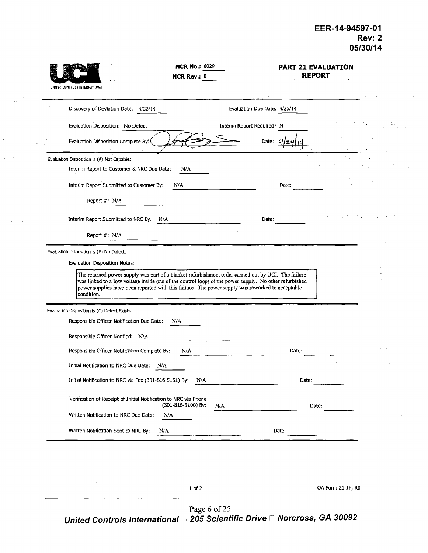| UNITED CONTROLS INTERNATIONAL                                                                                                                                                                                                                                                                                    | <b>NCR No.: 6029</b><br><b>NCR Rev.: 0</b> |                              |       | <b>PART 21 EVALUATION</b><br><b>REPORT</b> |  |
|------------------------------------------------------------------------------------------------------------------------------------------------------------------------------------------------------------------------------------------------------------------------------------------------------------------|--------------------------------------------|------------------------------|-------|--------------------------------------------|--|
| Discovery of Deviation Date: 4/22/14                                                                                                                                                                                                                                                                             |                                            | Evaluation Due Date: 4/25/14 |       |                                            |  |
| Evaluation Disposition: No Defect.                                                                                                                                                                                                                                                                               |                                            | Interim Report Required? N   |       |                                            |  |
| Evaluation Disposition Complete By:<br>provide a project                                                                                                                                                                                                                                                         |                                            | Date:                        |       |                                            |  |
| Evaluation Disposition is (A) Not Capable:                                                                                                                                                                                                                                                                       |                                            |                              |       |                                            |  |
| Interim Report to Customer & NRC Due Date:                                                                                                                                                                                                                                                                       | N/A                                        |                              |       |                                            |  |
| Interim Report Submitted to Customer By:                                                                                                                                                                                                                                                                         | N/A                                        |                              | Date: |                                            |  |
| Report #: N/A                                                                                                                                                                                                                                                                                                    |                                            |                              |       |                                            |  |
| Interim Report Submitted to NRC By:<br>N/A                                                                                                                                                                                                                                                                       |                                            | Date:                        |       |                                            |  |
| Report #: N/A                                                                                                                                                                                                                                                                                                    |                                            |                              |       |                                            |  |
| Evaluation Disposition is (B) No Defect:                                                                                                                                                                                                                                                                         |                                            |                              |       |                                            |  |
| Evaluation Disposition Notes:                                                                                                                                                                                                                                                                                    |                                            |                              |       |                                            |  |
| The returned power supply was part of a blanket refurbishment order carried out by UCI. The failure<br>was linked to a low voltage inside one of the control loops of the power supply. No other refurbished<br>power supplies have been reported with this failure. The power supply was reworked to acceptable |                                            |                              |       |                                            |  |
| condition.                                                                                                                                                                                                                                                                                                       |                                            |                              |       |                                            |  |
| Evaluation Disposition Is (C) Defect Exists :                                                                                                                                                                                                                                                                    |                                            |                              |       |                                            |  |
| Responsible Officer Notification Due Date:                                                                                                                                                                                                                                                                       | N/A                                        |                              |       |                                            |  |
| Responsible Officer Notified: N/A                                                                                                                                                                                                                                                                                |                                            |                              |       |                                            |  |
| Responsible Officer Notification Complete By:                                                                                                                                                                                                                                                                    | N/A                                        |                              | Date: |                                            |  |
| Initial Notification to NRC Due Date:<br>N/A                                                                                                                                                                                                                                                                     |                                            |                              |       |                                            |  |
| Initial Notification to NRC via Fax (301-816-5151) By:                                                                                                                                                                                                                                                           | N/A                                        |                              | Date: |                                            |  |
| Verification of Receipt of Initial Notification to NRC via Phone                                                                                                                                                                                                                                                 |                                            |                              |       |                                            |  |
| Written Notification to NRC Due Date:<br>N/A                                                                                                                                                                                                                                                                     | (301-816-5100) By:                         | N/A                          |       | Date:                                      |  |
| Written Notification Sent to NRC By:<br>N/A                                                                                                                                                                                                                                                                      |                                            |                              | Date: |                                            |  |
|                                                                                                                                                                                                                                                                                                                  |                                            |                              |       |                                            |  |
|                                                                                                                                                                                                                                                                                                                  |                                            |                              |       |                                            |  |
|                                                                                                                                                                                                                                                                                                                  |                                            |                              |       |                                            |  |
|                                                                                                                                                                                                                                                                                                                  | 1 of 2                                     |                              |       | QA Form 21.1F, R0                          |  |

 $\bar{\gamma}$ 

 $\bar{z}_1,\ldots,\bar{z}_n$ 

Page 6 of 2 *United Controls International* **□ 205 Scientific Drive □ Norcross, GA 3009**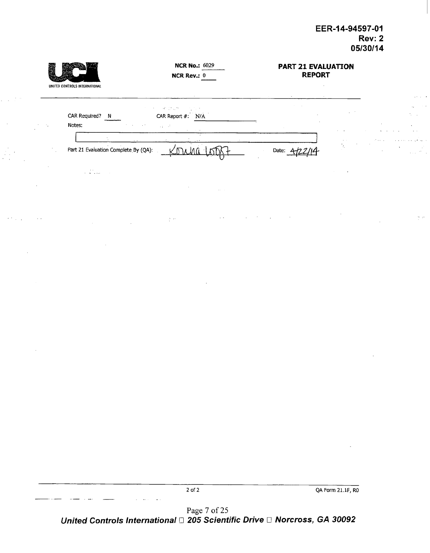$\frac{1}{2}$  and

|    | UNITED CONTROLS INTERNATIONAL        | <b>NCR No.: 6029</b><br><b>NCR Rev.: 0</b>                         | <b>PART 21 EVALUATION</b><br><b>REPORT</b> |                      |                                       |                                                |
|----|--------------------------------------|--------------------------------------------------------------------|--------------------------------------------|----------------------|---------------------------------------|------------------------------------------------|
|    |                                      |                                                                    | $\sim$<br>$\sim$                           |                      |                                       | and all                                        |
|    | CAR Required?                        | 医三甲基二酮<br>ng Sun<br>CAR Report #: N/A                              | $\sim$<br>$\sim$                           | $\alpha$ and $\beta$ |                                       | $\ddot{\phantom{0}}$<br>ta car                 |
| ÷. | Notes:                               | <b>Contractor</b><br>$\omega_4=-\omega^2$ .<br>All Contract States |                                            | $\sim$ $\sim$        | <b>1999</b>                           |                                                |
|    |                                      |                                                                    |                                            | $\sim$ $\sim$        | <b>Contractor</b><br>and the state of |                                                |
|    | Part 21 Evaluation Complete By (QA): |                                                                    | Date:                                      | $\mathcal{M}$        | $\sim$<br>$\sim$                      | ÷.<br>$\sim$<br>$\alpha$ , $\alpha$ , $\alpha$ |
|    | $\cdots$<br><b>Band Street</b>       |                                                                    |                                            |                      |                                       |                                                |

 $\frac{N}{2}$  at

 $\sim$   $\sim$ 

2 of 2 QA Form 21.1F, RO

Page 7 of 25 *United Controls International* □ 205 Scientific Drive □ Norcross, GA 30092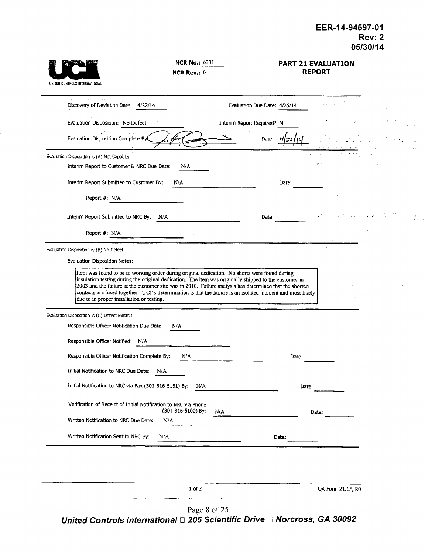| UNITED CONTROLS INTERNATIONAL                                                                                                                                                                                                                                        | <b>NCR No.: 6331</b><br>NCR Rev.: $0$ |                              |       | <b>PART 21 EVALUATION</b><br><b>REPORT</b> |  |
|----------------------------------------------------------------------------------------------------------------------------------------------------------------------------------------------------------------------------------------------------------------------|---------------------------------------|------------------------------|-------|--------------------------------------------|--|
| $\sim$ $\sim$<br>Discovery of Deviation Date: 4/22/14                                                                                                                                                                                                                |                                       | Evaluation Due Date: 4/25/14 |       |                                            |  |
| Evaluation Disposition; No Defect                                                                                                                                                                                                                                    |                                       | Interim Report Required? N   |       |                                            |  |
| Evaluation Disposition Complete By                                                                                                                                                                                                                                   |                                       | Date:                        |       |                                            |  |
| Evaluation Disposition is (A) Not Capable:                                                                                                                                                                                                                           |                                       |                              |       | te su mit                                  |  |
| Interim Report to Customer & NRC Due Date:                                                                                                                                                                                                                           | N/A                                   |                              |       | 独有 中心的 医                                   |  |
| Interim Report Submitted to Customer By:                                                                                                                                                                                                                             | N/A                                   |                              | Date: |                                            |  |
| Report #: N/A                                                                                                                                                                                                                                                        |                                       |                              |       |                                            |  |
| Interim Report Submitted to NRC By:<br>N/A                                                                                                                                                                                                                           |                                       | Date:                        |       |                                            |  |
| Report #: N/A                                                                                                                                                                                                                                                        |                                       |                              |       |                                            |  |
| Evaluation Disposition is (B) No Defect:                                                                                                                                                                                                                             |                                       |                              |       |                                            |  |
| Evaluation Disposition Notes:                                                                                                                                                                                                                                        |                                       |                              |       |                                            |  |
| 2003 and the failure at the customer site was in 2010. Failure analysis has determined that the shorted<br>contacts are fused together. UCI's determination is that the failure is an isolated incident and most likely<br>due to in proper installation or testing. |                                       |                              |       |                                            |  |
| Evaluation Disposition is (C) Defect Exists :<br>Responsible Officer Notification Due Date:                                                                                                                                                                          | N/A                                   |                              |       |                                            |  |
| Responsible Officer Notified: N/A                                                                                                                                                                                                                                    |                                       |                              |       |                                            |  |
| Responsible Officer Notification Complete By:                                                                                                                                                                                                                        | N/A                                   |                              | Date: |                                            |  |
| Initial Notification to NRC Due Date:<br>N/A                                                                                                                                                                                                                         |                                       |                              |       |                                            |  |
| Initial Notification to NRC via Fax (301-816-5151) By:                                                                                                                                                                                                               | N/A                                   |                              | Date: |                                            |  |
| Verification of Receipt of Initial Notification to NRC via Phone                                                                                                                                                                                                     | (301-816-5100) By:                    | N/A                          |       | Date:                                      |  |
| Written Notification to NRC Due Date:                                                                                                                                                                                                                                | N/A                                   |                              |       |                                            |  |
| Written Notification Sent to NRC By:<br>N/A                                                                                                                                                                                                                          |                                       |                              | Date: |                                            |  |
|                                                                                                                                                                                                                                                                      |                                       |                              |       |                                            |  |
|                                                                                                                                                                                                                                                                      |                                       |                              |       |                                            |  |
|                                                                                                                                                                                                                                                                      | 1 of 2                                |                              |       | QA Form 21.1F, R0                          |  |
|                                                                                                                                                                                                                                                                      |                                       |                              |       |                                            |  |

 $\sim$ 

Page 8 of 25 *United Controls International [1* **205** *Scientific Drive [I Norcross, GA 30092*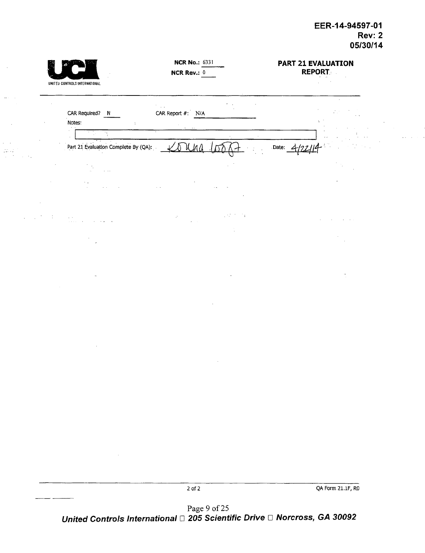|        | UNITED CONTROLS INTERNATIONAL                                                                   | <b>NCR No.: 6331</b><br>NCR Rev.: $0$                            |                         | <b>PART 21 EVALUATION</b><br><b>REPORT.</b><br>$\epsilon = 10$ |  |
|--------|-------------------------------------------------------------------------------------------------|------------------------------------------------------------------|-------------------------|----------------------------------------------------------------|--|
| $\sim$ | CAR Required? N                                                                                 | $\mathcal{P}_{\mathcal{A}}$ , $\mathcal{A}$<br>CAR Report #: N/A | $\mathbf{r}=\mathbf{r}$ | $\sim$<br>$\gamma_{\rm c}$                                     |  |
|        | Notes:<br>$\sim$<br>9 D.<br>$\mathcal{N}_{\mathcal{I}}$<br>Part 21 Evaluation Complete By (QA): | Y N W V                                                          |                         | Date: $\boldsymbol{\mathcal{L}}$                               |  |
|        | $\sim$<br>$\gamma_{\rm s}$<br>$\sim$<br>$\alpha$ , $\alpha$ ,                                   |                                                                  |                         |                                                                |  |
|        | $\sim$ $\sim$                                                                                   |                                                                  |                         |                                                                |  |
|        | $\sim 10^{-10}$<br>$\sim 10^{-1}$ m<br>$\sim$ $\sim$<br>$\ddot{\phantom{0}}$                    | $\mathcal{C}^{\mathcal{C}}$                                      | 251<br>Λż.<br>Ĵ,        |                                                                |  |
|        |                                                                                                 |                                                                  |                         |                                                                |  |
|        |                                                                                                 |                                                                  |                         | $\cdot$                                                        |  |
|        |                                                                                                 |                                                                  |                         |                                                                |  |
|        |                                                                                                 |                                                                  |                         |                                                                |  |
|        |                                                                                                 |                                                                  |                         |                                                                |  |
|        |                                                                                                 |                                                                  |                         |                                                                |  |
|        |                                                                                                 |                                                                  |                         |                                                                |  |
|        |                                                                                                 |                                                                  |                         |                                                                |  |
|        |                                                                                                 |                                                                  |                         |                                                                |  |
|        |                                                                                                 | $2$ of $2\,$<br>Page 9 of 25                                     |                         | QA Form 21.1F, RO                                              |  |

*United Controls International [1* 205 *Scientific Drive* W *Norcross, GA 30092*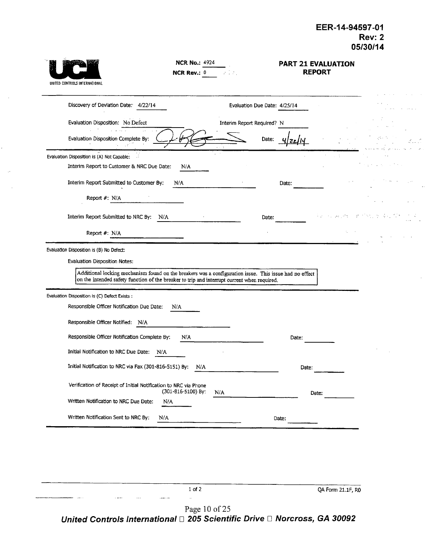| UNITED CONTROLS INTERNATIONAL                                                                                                                                                                                                                                                             | <b>NCR No.: 4924</b><br>NCR Rev.: 0 |                              |       | <b>PART 21 EVALUATION</b><br><b>REPORT</b> |  |
|-------------------------------------------------------------------------------------------------------------------------------------------------------------------------------------------------------------------------------------------------------------------------------------------|-------------------------------------|------------------------------|-------|--------------------------------------------|--|
| Discovery of Devlation Date: 4/22/14                                                                                                                                                                                                                                                      |                                     | Evaluation Due Date: 4/25/14 |       |                                            |  |
| Evaluation Disposition: No Defect                                                                                                                                                                                                                                                         |                                     | Interim Report Required? N   |       |                                            |  |
| Evaluation Disposition Complete By:                                                                                                                                                                                                                                                       |                                     | Date:                        |       |                                            |  |
| Evaluation Disposition is (A) Not Capable:                                                                                                                                                                                                                                                |                                     |                              |       |                                            |  |
| Interim Report to Customer & NRC Due Date:                                                                                                                                                                                                                                                | N/A                                 |                              |       |                                            |  |
| Interim Report Submitted to Customer By:                                                                                                                                                                                                                                                  | N/A                                 |                              | Date: |                                            |  |
| Report #: N/A                                                                                                                                                                                                                                                                             |                                     |                              |       |                                            |  |
| Interim Report Submitted to NRC By: N/A                                                                                                                                                                                                                                                   |                                     | Date:                        |       |                                            |  |
| Report #: N/A                                                                                                                                                                                                                                                                             |                                     |                              |       |                                            |  |
| Evaluation Disposition is (B) No Defect:<br><b>Evaluation Disposition Notes:</b><br>Additional locking mechanism found on the breakers was a configuration issue. This issue had no effect<br>on the intended safety function of the breaker to trip and interrupt current when required. |                                     |                              |       |                                            |  |
| Evaluation Disposition is (C) Defect Exists :                                                                                                                                                                                                                                             |                                     |                              |       |                                            |  |
| Responsible Officer Notification Due Date:                                                                                                                                                                                                                                                | N/A                                 |                              |       |                                            |  |
| Responsible Officer Notified: N/A                                                                                                                                                                                                                                                         |                                     |                              |       |                                            |  |
| Responsible Officer Notification Complete By:                                                                                                                                                                                                                                             | N/A                                 |                              | Date: |                                            |  |
| Initial Notification to NRC Due Date:<br>N/A                                                                                                                                                                                                                                              |                                     |                              |       |                                            |  |
| Initial Notification to NRC via Fax (301-816-5151) By:                                                                                                                                                                                                                                    | N/A                                 |                              | Date: |                                            |  |
| Verification of Receipt of Initial Notification to NRC via Phone                                                                                                                                                                                                                          | (301-816-5100) By:                  | N/A                          |       | Date:                                      |  |
| Written Notification to NRC Due Date:                                                                                                                                                                                                                                                     | N/A                                 |                              |       |                                            |  |
| Written Notification Sent to NRC By:                                                                                                                                                                                                                                                      | N/A                                 |                              | Date: |                                            |  |
|                                                                                                                                                                                                                                                                                           |                                     |                              |       |                                            |  |

Page 10 of 25 *United Controls International [1 205 Scientific Drive ED Norcross, GA 30092*

 $\bar{a}$ 

1 of 2 QA Form 21.1F, RO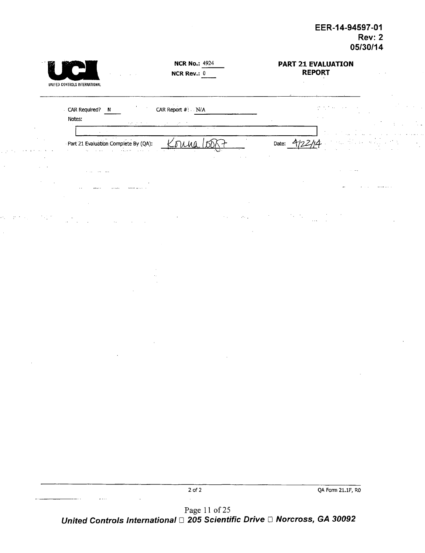| <b>NCR No.: 4924</b><br>NCR Rev.: $0$                                              | <b>PART 21 EVALUATION</b><br><b>REPORT</b> |
|------------------------------------------------------------------------------------|--------------------------------------------|
| UNITED CONTROLS INTERNATIONAL                                                      |                                            |
| CAR Required? N<br>CAR Report $#$ : N/A<br>Notes:<br>39.9.7.3<br>$\cdot$<br>$\sim$ |                                            |
| $\Delta$<br>Part 21 Evaluation Complete By (QA):<br>Turau<br>$\bar{Q}$             | $\mathcal{L}_{\mathcal{A}}$<br>4<br>Date:  |
|                                                                                    |                                            |
| $\sim 100$<br><b>All Gallery</b><br>$\cdots$                                       |                                            |
|                                                                                    |                                            |
|                                                                                    |                                            |
|                                                                                    |                                            |
|                                                                                    |                                            |
|                                                                                    |                                            |
|                                                                                    |                                            |
|                                                                                    |                                            |
|                                                                                    | $\lambda$                                  |
|                                                                                    |                                            |
|                                                                                    |                                            |
|                                                                                    |                                            |
| $2$ of $2\,$                                                                       | QA Form 21.1F, RO                          |

Page 11 of 25 *United Controls International* E *205 Scientific Drive* **E1** *Norcross, GA 30092*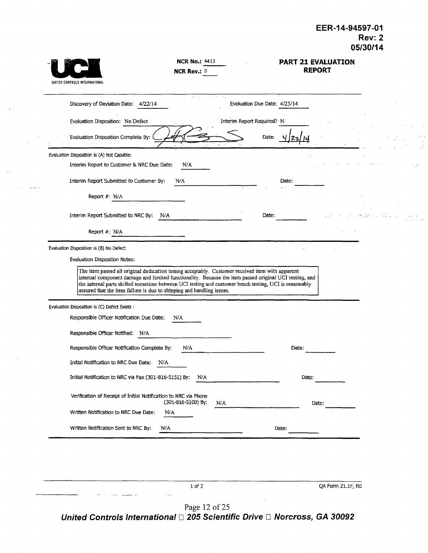| UNITED CONTROLS INTERNATIONAL                                                                                                                                                                                                                                                                                                                                                                | <b>NCR No.: 4413</b><br>NCR Rev.: $0$ |                                     |       | PART 21 EVALUATION<br><b>REPORT</b> |  |
|----------------------------------------------------------------------------------------------------------------------------------------------------------------------------------------------------------------------------------------------------------------------------------------------------------------------------------------------------------------------------------------------|---------------------------------------|-------------------------------------|-------|-------------------------------------|--|
| Discovery of Deviation Date: 4/22/14                                                                                                                                                                                                                                                                                                                                                         |                                       | ÷.,<br>Evaluation Due Date: 4/25/14 |       |                                     |  |
| Evaluation Disposition: No Defect                                                                                                                                                                                                                                                                                                                                                            |                                       | Interim Report Required? N          |       |                                     |  |
| Evaluation Disposition Complete By:                                                                                                                                                                                                                                                                                                                                                          |                                       | Date:                               |       |                                     |  |
| Evaluation Disposition Is (A) Not Capable:                                                                                                                                                                                                                                                                                                                                                   |                                       |                                     |       |                                     |  |
| Interim Report to Customer & NRC Due Date:                                                                                                                                                                                                                                                                                                                                                   | N/A                                   |                                     |       |                                     |  |
| Interim Report Submitted to Customer By:                                                                                                                                                                                                                                                                                                                                                     | N/A                                   |                                     | Date: |                                     |  |
| Report $#: N/A$                                                                                                                                                                                                                                                                                                                                                                              |                                       |                                     |       |                                     |  |
| Interim Report Submitted to NRC By:                                                                                                                                                                                                                                                                                                                                                          | N/A                                   | Date:                               |       |                                     |  |
| Report #: N/A                                                                                                                                                                                                                                                                                                                                                                                |                                       |                                     |       |                                     |  |
|                                                                                                                                                                                                                                                                                                                                                                                              |                                       |                                     |       |                                     |  |
| Evaluation Disposition is (B) No Defect:<br>Evaluation Disposition Notes:                                                                                                                                                                                                                                                                                                                    |                                       |                                     |       |                                     |  |
| The item passed all original dedication testing acceptably. Customer received item with apparent<br>internal component damage and limited functionality. Because the item passed original UCI testing, and<br>the internal parts shifted sometime between UCI testing and customer bench testing, UCI is reasonably<br>assured that the item failure is due to shipping and handling issues. |                                       |                                     |       |                                     |  |
| Evaluation Disposition is (C) Defect Exists :                                                                                                                                                                                                                                                                                                                                                |                                       |                                     |       |                                     |  |
| Responsible Officer Notification Due Date:                                                                                                                                                                                                                                                                                                                                                   | N/A                                   |                                     |       |                                     |  |
| Responsible Officer Notified: N/A                                                                                                                                                                                                                                                                                                                                                            |                                       |                                     |       |                                     |  |
| Responsible Officer Notification Complete By:                                                                                                                                                                                                                                                                                                                                                | N/A                                   |                                     | Date: |                                     |  |
| Initial Notification to NRC Due Date:<br>N/A                                                                                                                                                                                                                                                                                                                                                 |                                       |                                     |       |                                     |  |
| Initial Notification to NRC via Fax (301-816-5151) By:                                                                                                                                                                                                                                                                                                                                       | N/A                                   |                                     | Date: |                                     |  |
| Verification of Receipt of Initial Notification to NRC via Phone                                                                                                                                                                                                                                                                                                                             | (301-816-5100) By:<br>N/A             |                                     |       | Date:                               |  |
| Written Notification to NRC Due Date:                                                                                                                                                                                                                                                                                                                                                        | N/A                                   |                                     |       |                                     |  |
| Written Notification Sent to NRC By:                                                                                                                                                                                                                                                                                                                                                         | N/A                                   |                                     | Date: |                                     |  |
|                                                                                                                                                                                                                                                                                                                                                                                              |                                       |                                     |       |                                     |  |
|                                                                                                                                                                                                                                                                                                                                                                                              |                                       |                                     |       |                                     |  |
|                                                                                                                                                                                                                                                                                                                                                                                              |                                       |                                     |       |                                     |  |

لتعبد

*GA 30092 United Controls International ED 205 Scientific Drive* **E** *Norcross,*Page 12 of 25

 $\sim$   $-$ 

1 of 2 QA Form 21.1F, RD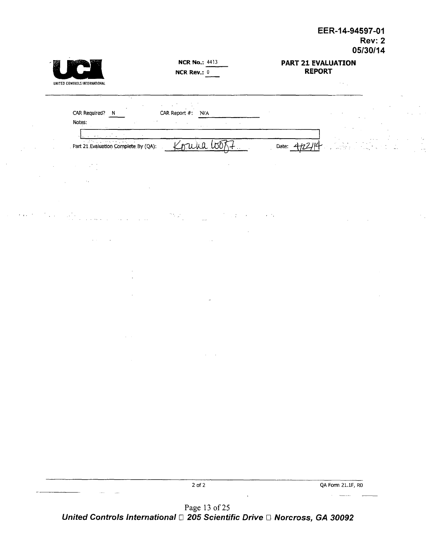|               | UNITED CONTROLS INTERNATIONAL                                                                                                                                                                                                                                                                                                                                                                                                  | <b>NCR No.: 4413</b><br>NCR Rev.: $0$                              | PART 21 EVALUATION<br><b>REPORT</b><br>$\sim 10^{11}$ |  |
|---------------|--------------------------------------------------------------------------------------------------------------------------------------------------------------------------------------------------------------------------------------------------------------------------------------------------------------------------------------------------------------------------------------------------------------------------------|--------------------------------------------------------------------|-------------------------------------------------------|--|
|               | ٠.<br>CAR Required? N<br>Notes:                                                                                                                                                                                                                                                                                                                                                                                                | CAR Report #: N/A<br>$\mathcal{L}$                                 |                                                       |  |
|               | $\mathcal{L}(\mathcal{A})$<br>Part 21 Evaluation Complete By (QA):                                                                                                                                                                                                                                                                                                                                                             | $\alpha$ , $\alpha$ , $\alpha$                                     |                                                       |  |
|               |                                                                                                                                                                                                                                                                                                                                                                                                                                | Korna Go<br>\+                                                     | Date: 4/22/14                                         |  |
|               |                                                                                                                                                                                                                                                                                                                                                                                                                                | $\mathcal{L}$                                                      |                                                       |  |
|               |                                                                                                                                                                                                                                                                                                                                                                                                                                |                                                                    |                                                       |  |
|               |                                                                                                                                                                                                                                                                                                                                                                                                                                |                                                                    |                                                       |  |
| <b>Carlos</b> | $\label{eq:2.1} \mathcal{L}^{\mathcal{A}}(\mathbf{r},\mathbf{r},\mathbf{r}) = \mathcal{L}^{\mathcal{A}}(\mathbf{r},\mathbf{r},\mathbf{r},\mathbf{r}) = \mathcal{L}^{\mathcal{A}}(\mathbf{r},\mathbf{r},\mathbf{r},\mathbf{r},\mathbf{r},\mathbf{r},\mathbf{r},\mathbf{r},\mathbf{r},\mathbf{r},\mathbf{r},\mathbf{r},\mathbf{r},\mathbf{r},\mathbf{r},\mathbf{r},\mathbf{r},\mathbf{r},\mathbf{r},\mathbf{r},\mathbf{r},\math$ | $\mathcal{D}^{\text{L}}_{\text{c}}(\omega_{\text{L}})$<br>$\ldots$ | $\epsilon=10$                                         |  |
|               |                                                                                                                                                                                                                                                                                                                                                                                                                                |                                                                    |                                                       |  |
|               |                                                                                                                                                                                                                                                                                                                                                                                                                                |                                                                    |                                                       |  |
|               |                                                                                                                                                                                                                                                                                                                                                                                                                                |                                                                    |                                                       |  |
|               |                                                                                                                                                                                                                                                                                                                                                                                                                                |                                                                    |                                                       |  |
|               |                                                                                                                                                                                                                                                                                                                                                                                                                                |                                                                    |                                                       |  |
|               |                                                                                                                                                                                                                                                                                                                                                                                                                                |                                                                    |                                                       |  |
|               |                                                                                                                                                                                                                                                                                                                                                                                                                                |                                                                    |                                                       |  |
|               | $\sim$                                                                                                                                                                                                                                                                                                                                                                                                                         |                                                                    |                                                       |  |
|               |                                                                                                                                                                                                                                                                                                                                                                                                                                |                                                                    |                                                       |  |
|               |                                                                                                                                                                                                                                                                                                                                                                                                                                |                                                                    |                                                       |  |
|               |                                                                                                                                                                                                                                                                                                                                                                                                                                |                                                                    |                                                       |  |
|               |                                                                                                                                                                                                                                                                                                                                                                                                                                |                                                                    |                                                       |  |
|               |                                                                                                                                                                                                                                                                                                                                                                                                                                |                                                                    |                                                       |  |
|               |                                                                                                                                                                                                                                                                                                                                                                                                                                |                                                                    |                                                       |  |
|               | $\sim$ and<br>$\ldots$                                                                                                                                                                                                                                                                                                                                                                                                         | $2$ of $2$                                                         | QA Form 21.1F, R0                                     |  |
|               |                                                                                                                                                                                                                                                                                                                                                                                                                                | $\langle \cdot, \cdot \rangle$<br>Page 13 of 25                    |                                                       |  |

*United Controls International* E *205 Scientific Drive El Norcross, GA 30092*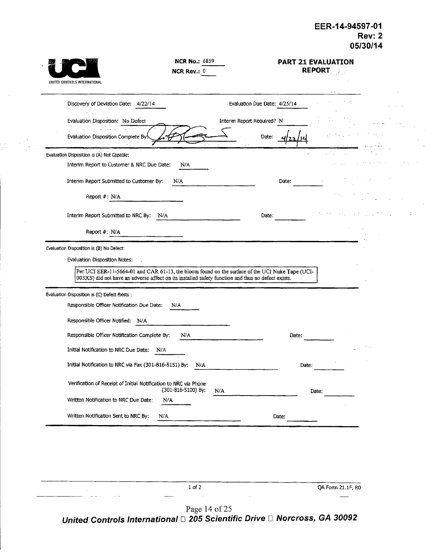| UNITED CONTROLS INTERNATIONAL                                                               | <b>NCR No.: 6859</b><br><b>NCR Rev.: 0</b> | <b>PART 21 EVALUATION</b><br><b>REPORT</b> |  |
|---------------------------------------------------------------------------------------------|--------------------------------------------|--------------------------------------------|--|
| Discovery of Deviation Date: 4/22/14                                                        |                                            | Evaluation Due Date: 4/25/14               |  |
| Evaluation Disposition: No Defect                                                           |                                            | Interim Report Required? N                 |  |
| $\omega = 1.12 \pm 0.2$<br>Evaluation Disposition Complete By.                              |                                            | Date:                                      |  |
| Evaluation Disposition is (A) Not Capable:                                                  |                                            |                                            |  |
| Interim Report to Customer & NRC Due Date:                                                  | N/A                                        |                                            |  |
| Interim Report Submitted to Customer By:                                                    | N/A                                        | Date:                                      |  |
| Report #: N/A                                                                               |                                            |                                            |  |
| Interim Report Submitted to NRC By: N/A                                                     |                                            | Date:                                      |  |
| Report $#: N/A$                                                                             |                                            |                                            |  |
| Evaluation Disposition is (C) Defect Exists :<br>Responsible Officer Notification Due Date: | N/A                                        |                                            |  |
| Responsible Officer Notified: N/A                                                           |                                            |                                            |  |
| Responsible Officer Notification Complete By:                                               | N/A                                        | Date:                                      |  |
| Initial Notification to NRC Due Date:<br>N/A                                                |                                            |                                            |  |
| Initial Notification to NRC via Fax (301-816-5151) By:                                      | N/A                                        | Date:                                      |  |
| Verification of Receipt of Initial Notification to NRC via Phone                            | (301-816-5100) By:<br>N/A                  | Date:                                      |  |
| Written Notification to NRC Due Date:<br>N/A                                                |                                            |                                            |  |
| Written Notification Sent to NRC By:<br>N/A                                                 |                                            | Date:                                      |  |
|                                                                                             |                                            |                                            |  |

ak<br>Kabupatèn

1 of 2 QA Form 21.IF, R0  $\frac{1}{2}$ Page 14 of 25

*United Controls International [1 205 Scientific Drive ED Norcross, GA 30092*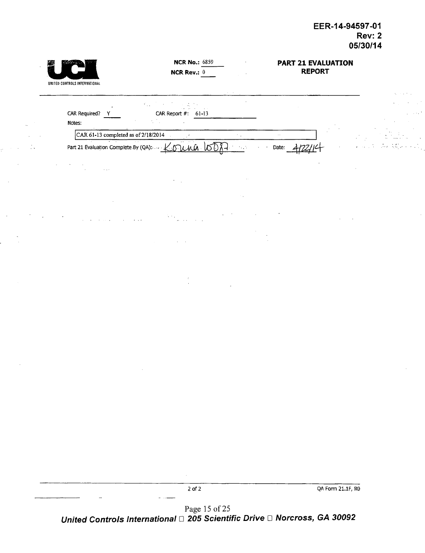| UNITED CONTROLS INTERNATIONAL        | <b>NCR No.: 6859</b><br><b>NCR Rev.: 0</b>                                                                                                                                     |                | <b>PART 21 EVALUATION</b><br><b>REPORT</b> |                                                                                                                                 |
|--------------------------------------|--------------------------------------------------------------------------------------------------------------------------------------------------------------------------------|----------------|--------------------------------------------|---------------------------------------------------------------------------------------------------------------------------------|
|                                      |                                                                                                                                                                                | $\sim$ $ \sim$ |                                            |                                                                                                                                 |
|                                      | $\mathcal{A}^{\mathcal{A}}_{\mathcal{A}}$ and $\mathcal{A}^{\mathcal{A}}_{\mathcal{A}}$ are the contributions of the contribution of $\mathcal{A}^{\mathcal{A}}_{\mathcal{A}}$ |                |                                            | $\mathbf{A}$ and $\mathbf{A}$<br>$\sim$                                                                                         |
| CAR Required?                        | CAR Report $\#$ : 61-13                                                                                                                                                        |                |                                            |                                                                                                                                 |
| Notes:                               | $\sim$ 100 $\pm$                                                                                                                                                               |                |                                            |                                                                                                                                 |
| CAR 61-13 completed as of 2/18/2014  |                                                                                                                                                                                |                | $\sim$                                     |                                                                                                                                 |
| Part 21 Evaluation Complete By (QA): | 99 H F<br>u inû                                                                                                                                                                |                | Date:                                      | $\mathcal{L}^{\mathcal{A}}$ and $\mathcal{L}^{\mathcal{A}}$ are the set of the following the set of $\mathcal{L}^{\mathcal{A}}$ |

 $\epsilon_{\rm{max}}$ 

 $\hat{z}$  ,  $\hat{z}$ 

|                          | __                              |                   |
|--------------------------|---------------------------------|-------------------|
|                          | $2$ of $2$                      | QA Form 21.1F, R0 |
| $\overline{\phantom{a}}$ |                                 |                   |
|                          | $D_{\text{max}}$ 15 $\leq$ 0.00 |                   |

Page 15 of **25** *United Controls International* E *205 Scientific Drive* **E1** *Norcross, GA 30092*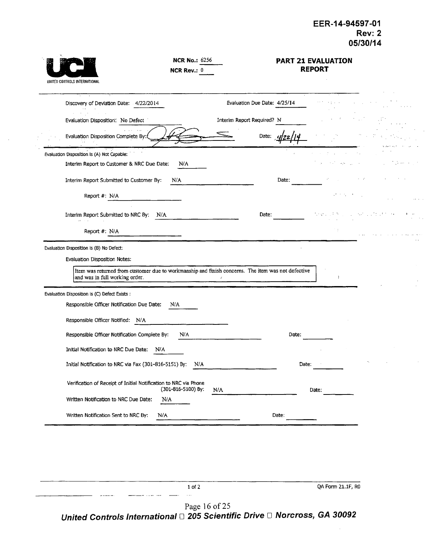l,

 $\hat{\mathcal{A}}$ 

Ļ,

 $\sim$ 

| ٠ |                               |
|---|-------------------------------|
|   | UNITED CONTROLS INTERNATIONAL |

 $\bar{z}$ 

NCR No.: 6256 NCR Rev.: 0

#### PART 21 **EVALUATION** REPORT

| Discovery of Deviation Date: 4/22/2014                                                          | Evaluation Due Date: 4/25/14 |          |                                |  |
|-------------------------------------------------------------------------------------------------|------------------------------|----------|--------------------------------|--|
| Evaluation Disposition: No Defect                                                               | Interim Report Required? N   |          |                                |  |
| Evaluation Disposition Complete By:                                                             | Date:                        |          |                                |  |
| Evaluation Disposition Is (A) Not Capable:<br>Interim Report to Customer & NRC Due Date:<br>N/A |                              |          | $\sim 10$                      |  |
| Interim Report Submitted to Customer By:<br>N/A                                                 | Date:                        |          |                                |  |
| Report #: N/A                                                                                   |                              |          | $\alpha$ , $\alpha$ , $\alpha$ |  |
| Interim Report Submitted to NRC By: N/A                                                         | Date:                        | for en l |                                |  |
| Report #: N/A                                                                                   |                              |          |                                |  |
| and was in full working order.<br>Evaluation Disposition is (C) Defect Exists :                 |                              |          | $\mathbf{r}$                   |  |
|                                                                                                 |                              |          |                                |  |
| Responsible Officer Notification Due Date:<br>N/A                                               |                              |          |                                |  |
| Responsible Officer Notified: N/A                                                               |                              |          |                                |  |
|                                                                                                 |                              |          |                                |  |
| Responsible Officer Notification Complete By:<br>N/A                                            |                              | Date:    |                                |  |
| Initial Notification to NRC Due Date:<br>N/A                                                    |                              |          |                                |  |
| Initial Notification to NRC via Fax (301-816-5151) By:                                          | N/A                          | Date:    |                                |  |
| Verification of Receipt of Initial Notification to NRC via Phone<br>(301-816-5100) By:          | N/A                          | Date:    |                                |  |
| Written Notification to NRC Due Date:<br>N/A                                                    |                              |          |                                |  |

1 of 2 QA Form 21.1F, RO -- ..... ....  $\bar{\mathcal{A}}$  .  $\sim$  -  $\sim$   $\sim$ 

Page 16 of 25 *United Controls International* □ 205 Scientific Drive □ Norcross, GA 30092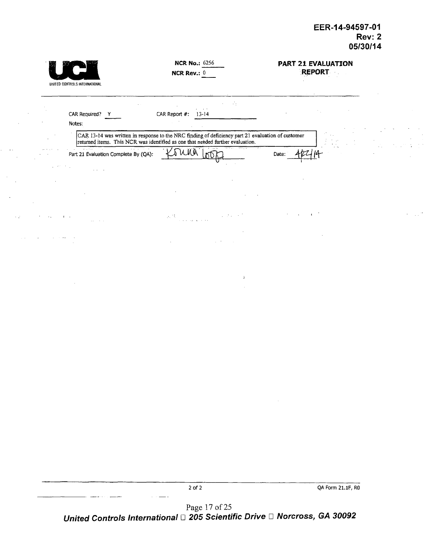|                          |                                                 | <b>NCR No.: 6256</b>                                                                                                                                                             | PART 21 EVALUATION |  |
|--------------------------|-------------------------------------------------|----------------------------------------------------------------------------------------------------------------------------------------------------------------------------------|--------------------|--|
|                          |                                                 | NCR Rev.: 0                                                                                                                                                                      | <b>REPORT</b>      |  |
|                          | UNITED CONTROLS INTERNATIONAL                   |                                                                                                                                                                                  |                    |  |
|                          |                                                 | $\mathcal{A}_1$                                                                                                                                                                  |                    |  |
|                          | CAR Required? Y                                 | CAR Report #:<br>$13-14$                                                                                                                                                         |                    |  |
|                          | Notes:                                          |                                                                                                                                                                                  |                    |  |
|                          |                                                 | CAR 13-14 was written in response to the NRC finding of deficiency part 21 evaluation of customer returned items. This NCR was identified as one that needed further evaluation. |                    |  |
|                          | Part 21 Evaluation Complete By (QA):            | TUMA.                                                                                                                                                                            | Date:              |  |
| $\mu = 22.5$ , $\mu = 1$ | <b>Contractor</b>                               |                                                                                                                                                                                  |                    |  |
|                          |                                                 |                                                                                                                                                                                  |                    |  |
|                          |                                                 |                                                                                                                                                                                  |                    |  |
| $\sim$ $\sim$            | $\mathbf{1}$ and $\mathbf{1}$<br>$\sim 10^{-1}$ | $\mathcal{N}(\mathcal{K})$<br>$\mathcal{L}^{\mathcal{L}}(\mathcal{F},\mathcal{L})$ , $\mathcal{F}$                                                                               | $\mathbf{L}$       |  |
|                          |                                                 |                                                                                                                                                                                  |                    |  |
|                          |                                                 |                                                                                                                                                                                  |                    |  |
|                          |                                                 |                                                                                                                                                                                  |                    |  |
|                          |                                                 |                                                                                                                                                                                  |                    |  |
|                          |                                                 | ÷                                                                                                                                                                                |                    |  |
|                          |                                                 |                                                                                                                                                                                  |                    |  |
|                          |                                                 |                                                                                                                                                                                  |                    |  |
|                          |                                                 |                                                                                                                                                                                  |                    |  |
|                          |                                                 |                                                                                                                                                                                  |                    |  |
|                          |                                                 |                                                                                                                                                                                  |                    |  |
|                          |                                                 |                                                                                                                                                                                  |                    |  |
|                          |                                                 |                                                                                                                                                                                  |                    |  |
|                          |                                                 |                                                                                                                                                                                  |                    |  |
|                          |                                                 |                                                                                                                                                                                  |                    |  |
|                          |                                                 |                                                                                                                                                                                  | $\sim$             |  |
|                          |                                                 |                                                                                                                                                                                  |                    |  |
|                          |                                                 |                                                                                                                                                                                  |                    |  |
|                          |                                                 |                                                                                                                                                                                  |                    |  |
|                          |                                                 |                                                                                                                                                                                  |                    |  |
|                          |                                                 |                                                                                                                                                                                  |                    |  |
|                          |                                                 |                                                                                                                                                                                  |                    |  |
|                          |                                                 | $2$ of $2$                                                                                                                                                                       | QA Form 21.1F, RO  |  |

 $\sim$  .

Page 17 of 2 *United Controls International* E *205 Scientific Drive [I Norcross, GA 30092*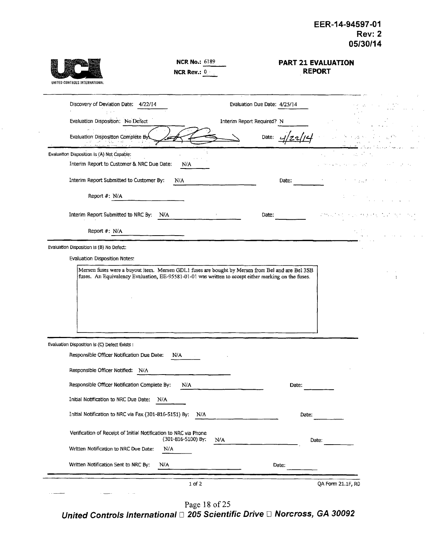| UNITED CONTROLS INTERNATIONAL                                                                                                                                                                                                            | <b>NCR No.: 6189</b><br>NCR Rev.: 0 |                              |       | <b>PART 21 EVALUATION</b><br><b>REPORT</b> |  |
|------------------------------------------------------------------------------------------------------------------------------------------------------------------------------------------------------------------------------------------|-------------------------------------|------------------------------|-------|--------------------------------------------|--|
| Discovery of Deviation Date: 4/22/14<br>$\gamma \rightarrow 0$                                                                                                                                                                           |                                     | Evaluation Due Date: 4/25/14 |       |                                            |  |
| Evaluation Disposition: No Defect                                                                                                                                                                                                        |                                     | Interim Report Required? N   |       |                                            |  |
| Evaluation Disposition Complete By<br>a no ano 14. Cent                                                                                                                                                                                  |                                     | Date:                        |       |                                            |  |
| Evaluation Disposition is (A) Not Capable:                                                                                                                                                                                               |                                     |                              |       | A.                                         |  |
| Interim Report to Customer & NRC Due Date:                                                                                                                                                                                               | N/A                                 |                              |       | market and ad-                             |  |
| Interim Report Submitted to Customer By:                                                                                                                                                                                                 | N/A                                 |                              | Date: |                                            |  |
| Report #: N/A                                                                                                                                                                                                                            |                                     |                              |       |                                            |  |
| Interim Report Submitted to NRC By:<br>N/A                                                                                                                                                                                               |                                     | Date:                        |       |                                            |  |
| Report #: N/A                                                                                                                                                                                                                            |                                     |                              |       |                                            |  |
| Evaluation Disposition Notes:<br>Mersen fuses were a buyout item. Mersen GDL1 fuses are bought by Mersen from Bel and are Bel 3SB<br>fuses. An Equivalency Evaluation, EE-95581-01-01 was written to accept either marking on the fuses. |                                     |                              |       |                                            |  |
| Evaluation Disposition is (C) Defect Exists :                                                                                                                                                                                            |                                     |                              |       |                                            |  |
| Responsible Officer Notification Due Date:                                                                                                                                                                                               | N/A                                 |                              |       |                                            |  |
| Responsible Officer Notified:<br>N/A                                                                                                                                                                                                     |                                     |                              |       |                                            |  |
| Responsible Officer Notification Complete By:                                                                                                                                                                                            | N/A                                 |                              | Date: |                                            |  |
| Initial Notification to NRC Due Date:<br>N/A                                                                                                                                                                                             |                                     |                              |       |                                            |  |
| Initial Notification to NRC via Fax (301-816-5151) By:                                                                                                                                                                                   | N/A                                 |                              | Date: |                                            |  |
| Verification of Receipt of Initial Notification to NRC via Phone                                                                                                                                                                         | (301-816-5100) By:                  | N/A                          |       | Date:                                      |  |
| Written Notification to NRC Due Date:                                                                                                                                                                                                    | N/A                                 |                              |       |                                            |  |
| Written Notification Sent to NRC By:<br>N/A                                                                                                                                                                                              |                                     |                              | Date: |                                            |  |
|                                                                                                                                                                                                                                          | $1$ of $2$                          |                              |       | QA Form 21.1F, R0                          |  |

Page 18 of 25

*United Controls International* **El** *205 Scientific Drive* **L** *Norcross, GA 30092*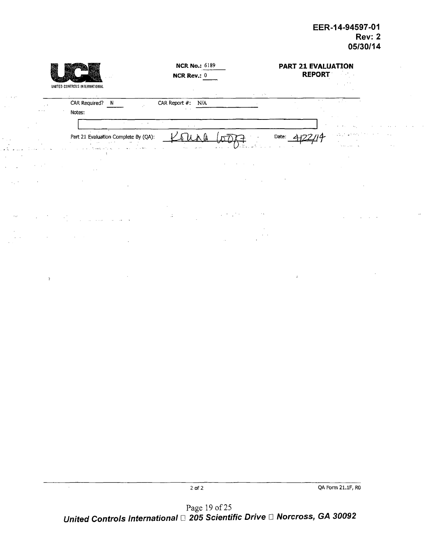$\ddot{\phantom{1}}$ 

|          |                               | UNITED CONTROLS INTERNATIONAL                                        | <b>NCR No.: 6189</b><br><b>NCR Rev.: 0</b>     |                                     | PART 21 EVALUATION<br><b>REPORT</b> |                              |
|----------|-------------------------------|----------------------------------------------------------------------|------------------------------------------------|-------------------------------------|-------------------------------------|------------------------------|
| 31, 27   | $\sim$ $^{\circ}$<br>$\cdots$ | $\sim$<br>CAR Required? N<br>Notes:<br>$\sim$<br>$\omega_{\rm{max}}$ | CAR Report #: N/A<br>$\sim 100$                | 14,79<br>$\sim$                     | $\sim$<br>$\lambda=1$ .<br>$\sim$   | $\mathcal{L}(\mathcal{I})$ . |
|          |                               | Part 21 Evaluation Complete By (QA):                                 | $\sim$<br>$\sim 10$<br>$\Delta\sigma\to\pi\pi$ | $\mathbf{z} \rightarrow \mathbf{z}$ | Date:                               | Search Color                 |
|          |                               |                                                                      |                                                |                                     |                                     |                              |
|          |                               |                                                                      |                                                |                                     |                                     |                              |
| in year. |                               |                                                                      | ÷.                                             | $\sim$ $\lesssim$                   |                                     |                              |
|          |                               |                                                                      |                                                |                                     |                                     |                              |
|          | $\mathcal{V}$                 |                                                                      |                                                |                                     | $\mathcal{L}_{\mathcal{C}}$         |                              |

 $\ddot{\phantom{0}}$ 

 $\bar{\gamma}$ 

2 of 2 QA Form 21.1F, RO

Page 19 of 25 *United Controls International [1 205 Scientific Drive* E *Norcross, GA 30092*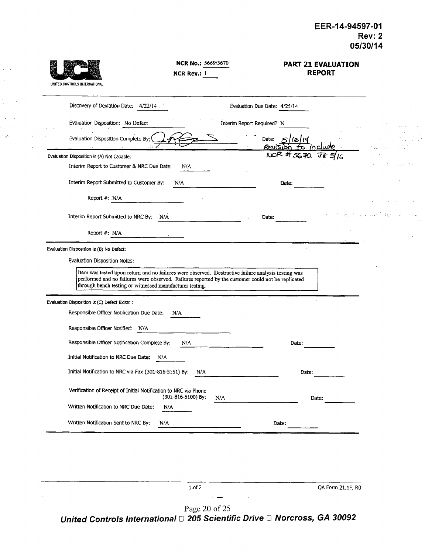$\mathcal{L}_{\mathcal{A}}$ 

 $\frac{1}{2}$ 

| UNITED CONTROLS INTERNATIONAL                                    | NCR No.: 5669/5670<br><b>NCR Rev.: 1</b>                                                                                                                                                                  |                                 | <b>PART 21 EVALUATION</b><br><b>REPORT</b> |
|------------------------------------------------------------------|-----------------------------------------------------------------------------------------------------------------------------------------------------------------------------------------------------------|---------------------------------|--------------------------------------------|
| Discovery of Devlation Date: 4/22/14                             |                                                                                                                                                                                                           | Evaluation Due Date: 4/25/14    |                                            |
| Evaluation Disposition: No Defect                                |                                                                                                                                                                                                           | Interim Report Required? N      |                                            |
| Evaluation Disposition Complete By:                              |                                                                                                                                                                                                           | Date:<br>66114<br>Revision<br>≁ |                                            |
| Evaluation Disposition is (A) Not Capable:                       |                                                                                                                                                                                                           | $NCR$ # $S670$                  |                                            |
| Interim Report to Customer & NRC Due Date:                       | N/A                                                                                                                                                                                                       |                                 |                                            |
| Interim Report Submitted to Customer By:                         | N/A                                                                                                                                                                                                       | Date:                           |                                            |
| Report #: N/A                                                    |                                                                                                                                                                                                           |                                 |                                            |
| Interim Report Submitted to NRC By:                              | N/A                                                                                                                                                                                                       | Date:                           |                                            |
| Report #: N/A                                                    |                                                                                                                                                                                                           |                                 |                                            |
|                                                                  |                                                                                                                                                                                                           |                                 |                                            |
| Evaluation Disposition is (B) No Defect:                         |                                                                                                                                                                                                           |                                 |                                            |
| Evaluation Disposition Notes:                                    |                                                                                                                                                                                                           |                                 |                                            |
| through bench testing or witnessed manufacturer testing.         | Item was tested upon return and no failures were observed. Destructive failure analysis testing was<br>performed and no failures were observed. Failures reported by the customer could not be replicated |                                 |                                            |
| Evaluation Disposition is (C) Defect Exists :                    |                                                                                                                                                                                                           |                                 |                                            |
| Responsible Officer Notification Due Date:                       | N/A                                                                                                                                                                                                       |                                 |                                            |
| Responsible Officer Notified: N/A                                |                                                                                                                                                                                                           |                                 |                                            |
| Responsible Officer Notification Complete By:                    | N/A                                                                                                                                                                                                       | Date:                           |                                            |
| Initial Notification to NRC Due Date:                            | N/A                                                                                                                                                                                                       |                                 |                                            |
| Initial Notification to NRC via Fax (301-816-5151) By:           | N/A                                                                                                                                                                                                       | Date:                           |                                            |
| Verification of Receipt of Initial Notification to NRC via Phone | (301-816-5100) By:<br>N/A                                                                                                                                                                                 | Date:                           |                                            |
|                                                                  | N/A                                                                                                                                                                                                       |                                 |                                            |
| Written Notification to NRC Due Date:                            |                                                                                                                                                                                                           |                                 |                                            |
| Written Notification Sent to NRC By:                             | N/A                                                                                                                                                                                                       | Date:                           |                                            |

 $\hat{z} = \hat{z}$  $\bar{z}$ 

 $\sim 2\pi$  .  $\omega$ 

 $\sim$   $\sim$ Page 20 of 25 *United Controls International* **D]** *205 Scientific Drive El Norcross, GA 30092*

1 of 2 QA Form 21.1F, RO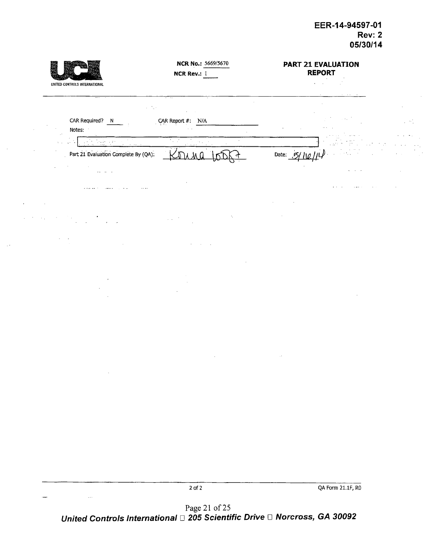$\bar{z}$ 

 $\sigma_{\rm L}^{\rm L}$  ,  $\sigma_{\rm L}$ 

 $\frac{1}{2}$  ,  $\frac{1}{2}$ 

| UNITED CONTROLS INTERNATIONAL             | NCR No.: 5669/5670<br><b>NCR Rev.: 1</b>                                            | PART 21 EVALUATION<br><b>REPORT</b><br>$\mathcal{C}$<br>$\mathbf{e}^{\mathrm{d}}$ , $\mathbf{e}^{\mathrm{d}}$ , $\mathbf{e}^{\mathrm{d}}$ |
|-------------------------------------------|-------------------------------------------------------------------------------------|-------------------------------------------------------------------------------------------------------------------------------------------|
| CAR Required? N                           | $\tau^{-1}\tau$<br>$\mathbf{r} = \mathbf{r} \times \mathbf{r}$<br>CAR Report #: N/A |                                                                                                                                           |
| Notes:<br>y.                              |                                                                                     |                                                                                                                                           |
| <b>Professor</b><br>$\mathcal{N}$ .<br>Ġ, | $\mathcal{F}_\infty$ , $\mathcal{F}_\infty$<br>$\alpha$                             |                                                                                                                                           |
| Part 21 Evaluation Complete By (QA):      |                                                                                     | Date: $.5/$                                                                                                                               |
| <b>SALE REPORT</b>                        |                                                                                     |                                                                                                                                           |
|                                           |                                                                                     |                                                                                                                                           |
|                                           |                                                                                     |                                                                                                                                           |
|                                           |                                                                                     |                                                                                                                                           |
|                                           |                                                                                     |                                                                                                                                           |
|                                           |                                                                                     |                                                                                                                                           |
|                                           |                                                                                     |                                                                                                                                           |
|                                           |                                                                                     |                                                                                                                                           |
|                                           |                                                                                     |                                                                                                                                           |
|                                           |                                                                                     |                                                                                                                                           |
|                                           |                                                                                     |                                                                                                                                           |
|                                           |                                                                                     |                                                                                                                                           |
|                                           |                                                                                     |                                                                                                                                           |
|                                           |                                                                                     |                                                                                                                                           |
|                                           |                                                                                     |                                                                                                                                           |
| $\sim$                                    |                                                                                     |                                                                                                                                           |
|                                           |                                                                                     |                                                                                                                                           |
|                                           |                                                                                     |                                                                                                                                           |
|                                           |                                                                                     |                                                                                                                                           |
|                                           |                                                                                     |                                                                                                                                           |
|                                           |                                                                                     |                                                                                                                                           |
|                                           |                                                                                     |                                                                                                                                           |
|                                           |                                                                                     |                                                                                                                                           |
|                                           |                                                                                     |                                                                                                                                           |
|                                           | $2$ of $2\,$                                                                        | QA Form 21.1F, RO                                                                                                                         |

 $\bar{z}$ 

 $\sim 10^{-1}$ 

J,

Page 21 of 25 *United Controls International [1 205 Scientific Drive* IZ *Norcross, GA 30092*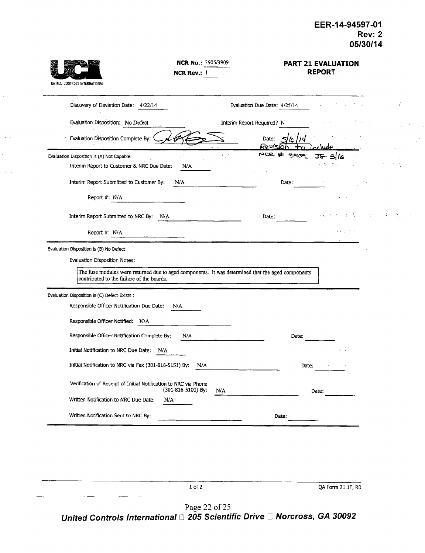| UNITED CONTROLS INTERNATIONAL                                                                                                                                                                                               | <b>NCR No.: 3905/3909</b><br><b>NCR Rev.: 1</b> |                              |          | <b>PART 21 EVALUATION</b><br><b>REPORT</b> |                  |  |
|-----------------------------------------------------------------------------------------------------------------------------------------------------------------------------------------------------------------------------|-------------------------------------------------|------------------------------|----------|--------------------------------------------|------------------|--|
| Discovery of Deviation Date: 4/22/14                                                                                                                                                                                        |                                                 | Evaluation Due Date: 4/25/14 |          |                                            |                  |  |
| Evaluation Disposition: No Defect                                                                                                                                                                                           |                                                 | Interim Report Required? N   |          |                                            |                  |  |
| Evaluation Disposition Complete By:                                                                                                                                                                                         |                                                 | Date:                        | Revision |                                            |                  |  |
| Evaluation Disposition Is (A) Not Capable:<br>Interim Report to Customer & NRC Due Date:                                                                                                                                    | N/A                                             | <b>WCG</b>                   | $790 -$  | 5/6                                        |                  |  |
| Interim Report Submitted to Customer By:                                                                                                                                                                                    | N/A                                             |                              | Date:    |                                            |                  |  |
| Report #: N/A                                                                                                                                                                                                               |                                                 |                              |          |                                            |                  |  |
| Interim Report Submitted to NRC By: N/A                                                                                                                                                                                     |                                                 | Date:                        |          |                                            | in Party<br>新闻商品 |  |
| Report #: N/A                                                                                                                                                                                                               |                                                 |                              |          | 29 J P                                     |                  |  |
| Evaluation Disposition is (B) No Defect:<br>Evaluation Disposition Notes:<br>The fuse modules were returned due to aged components. It was determined that the aged components<br>contributed to the failure of the boards. |                                                 |                              |          |                                            |                  |  |
| Evaluation Disposition is (C) Defect Exists :                                                                                                                                                                               |                                                 |                              |          |                                            |                  |  |
| Responsible Officer Notification Due Date:<br>Responsible Officer Notified: N/A                                                                                                                                             | N/A                                             |                              |          |                                            |                  |  |
| Responsible Officer Notification Complete By:                                                                                                                                                                               | N/A                                             |                              | Date:    |                                            |                  |  |
| Initial Notification to NRC Due Date:<br>N/A                                                                                                                                                                                |                                                 |                              |          | $\lambda$                                  |                  |  |
| Initial Notification to NRC via Fax (301-816-5151) By:                                                                                                                                                                      | N/A                                             |                              | Date:    |                                            |                  |  |
| Verification of Receipt of Initial Notification to NRC via Phone<br>Written Notification to NRC Due Date:<br>N/A                                                                                                            | (301-816-5100) By:                              | N/A                          |          | Date:                                      |                  |  |
| Written Notification Sent to NRC By:                                                                                                                                                                                        |                                                 |                              | Date:    |                                            |                  |  |
|                                                                                                                                                                                                                             |                                                 |                              |          |                                            |                  |  |

Ù,

P.

 $\sim$   $\sim$  $\gamma_{\rm{1.4}}$ 

 $\sim$   $\sim$ 

1 of 2 QA Form 21.1F, RO Page 22 of 25 *United Controls International* **D** *205 Scientific Drive El Norcross, GA 30092*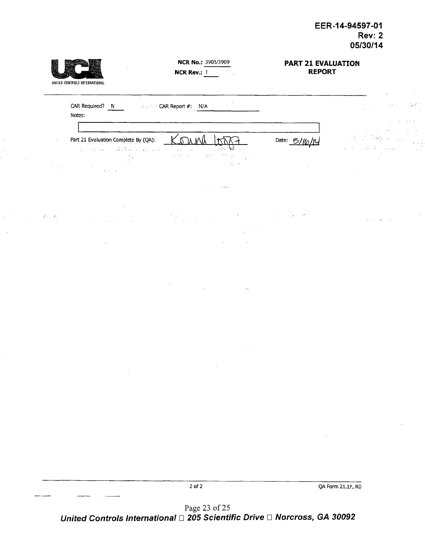$\ddot{\phantom{0}}$  $\hat{\boldsymbol{\cdot}$ 



 $\sim$  $\mathbb{R}^2$ 

 $\overline{\phantom{a}}$ 

#### NCR No.: 3905/3909 NCR Rev.: **I**

#### PART 21 **EVALUATION** REPORT

|                                      | CAR Required? N<br>Notes:                                                              | CAR Report #: N/A<br>$\sim$                                                                                                                                                             |              |                   |
|--------------------------------------|----------------------------------------------------------------------------------------|-----------------------------------------------------------------------------------------------------------------------------------------------------------------------------------------|--------------|-------------------|
|                                      |                                                                                        |                                                                                                                                                                                         |              |                   |
| $\sim$                               | Part 21 Evaluation Complete By (QA):<br>$\alpha_{\rm{eff}} \rightarrow 10$<br>$\cdots$ | onna<br>Ô.<br>$\sim 1.0$ $\sigma$<br>in an<br>$\sim$ 10 $\,$<br>$\mathcal{L} \in \mathcal{L}$<br>the common<br>10 MM<br>$\mathcal{F}(\mathcal{I})$<br>$\ddotsc$<br>$\ddot{\phantom{a}}$ | Date: $5/10$ |                   |
|                                      | $\ddotsc$                                                                              | $\mathcal{O}(\mathbb{R}^2)$                                                                                                                                                             |              |                   |
|                                      |                                                                                        | $\alpha \in \mathcal{A}$ and $\alpha$                                                                                                                                                   |              |                   |
| $\mathbb{R}^n \times \mathbb{R}^{n}$ |                                                                                        | $\bullet$<br>$\sim$ $^{\prime}$                                                                                                                                                         |              |                   |
|                                      |                                                                                        |                                                                                                                                                                                         |              |                   |
|                                      | $\cdot$                                                                                |                                                                                                                                                                                         |              |                   |
|                                      |                                                                                        |                                                                                                                                                                                         |              |                   |
|                                      |                                                                                        | $\sim$ $\sim$                                                                                                                                                                           |              |                   |
|                                      |                                                                                        |                                                                                                                                                                                         |              |                   |
|                                      |                                                                                        |                                                                                                                                                                                         |              |                   |
|                                      |                                                                                        |                                                                                                                                                                                         |              |                   |
|                                      |                                                                                        |                                                                                                                                                                                         |              |                   |
|                                      |                                                                                        |                                                                                                                                                                                         |              |                   |
|                                      |                                                                                        |                                                                                                                                                                                         |              |                   |
|                                      |                                                                                        |                                                                                                                                                                                         |              |                   |
|                                      |                                                                                        |                                                                                                                                                                                         |              |                   |
|                                      |                                                                                        |                                                                                                                                                                                         |              |                   |
|                                      |                                                                                        |                                                                                                                                                                                         |              |                   |
|                                      |                                                                                        | $2$ of $2\,$                                                                                                                                                                            |              | QA Form 21.1F, RO |

Page 23 of 25 *United Controls International* E *205 Scientific Drive El Norcross, GA 30092*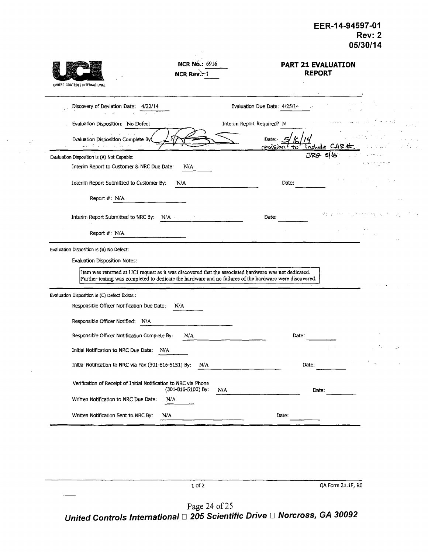| UNITED CONTROLS INTERNATIONAL                                                                                                                            | <b>NCR No.: 6916</b><br>NCR Rev.:-1 |                              | <b>PART 21 EVALUATION</b><br><b>REPORT</b> |                    |  |
|----------------------------------------------------------------------------------------------------------------------------------------------------------|-------------------------------------|------------------------------|--------------------------------------------|--------------------|--|
| Discovery of Deviation Date: 4/22/14                                                                                                                     |                                     | Evaluation Due Date: 4/25/14 |                                            |                    |  |
| Evaluation Disposition: No Defect                                                                                                                        | $\mathbf{a}$ and $\mathbf{a}$       | Interim Report Required? N   |                                            |                    |  |
| Evaluation Disposition Complete By<br>الوقات والمناقبة المعطور                                                                                           |                                     | Date:<br>revision to         | include CAR                                |                    |  |
| Evaluation Disposition Is (A) Not Capable:                                                                                                               |                                     |                              |                                            |                    |  |
| Interim Report to Customer & NRC Due Date:                                                                                                               | N/A                                 |                              |                                            |                    |  |
| Interim Report Submitted to Customer By:                                                                                                                 | N/A                                 | Date:                        |                                            |                    |  |
| Report #: N/A                                                                                                                                            |                                     |                              |                                            |                    |  |
| Interim Report Submitted to NRC By: N/A                                                                                                                  |                                     | Date:                        |                                            | $\sigma_{\rm 200}$ |  |
| Report #: N/A                                                                                                                                            |                                     |                              |                                            |                    |  |
| Further testing was completed to dedicate the hardware and no failures of the hardware were discovered.<br>Evaluation Disposition is (C) Defect Exists : |                                     |                              |                                            |                    |  |
| Responsible Officer Notification Due Date:                                                                                                               | N/A                                 |                              |                                            |                    |  |
| Responsible Officer Notified: N/A                                                                                                                        |                                     |                              |                                            |                    |  |
| Responsible Officer Notification Complete By:                                                                                                            | N/A                                 | Date:                        |                                            |                    |  |
| Initial Notification to NRC Due Date:<br>N/A                                                                                                             |                                     |                              |                                            |                    |  |
| Initial Notification to NRC via Fax (301-816-5151) By:                                                                                                   | N/A                                 | Date:                        |                                            |                    |  |
| Verification of Receipt of Initial Notification to NRC via Phone                                                                                         | (301-816-5100) By:<br>N/A           |                              | Date:                                      |                    |  |
| Written Notification to NRC Due Date:                                                                                                                    | N/A                                 |                              |                                            |                    |  |
| Written Notification Sent to NRC By:<br>N/A                                                                                                              |                                     | Date:                        |                                            |                    |  |
|                                                                                                                                                          |                                     |                              |                                            |                    |  |
|                                                                                                                                                          |                                     |                              |                                            |                    |  |
|                                                                                                                                                          |                                     |                              |                                            |                    |  |

 $\sim$ 

 $\mathcal{L}$ 

Page 24 of 25 *United Controls International [1 205 Scientific Drive* **E** *Norcross, GA 30092*

1 of 2 QA Form 21.1F, RO